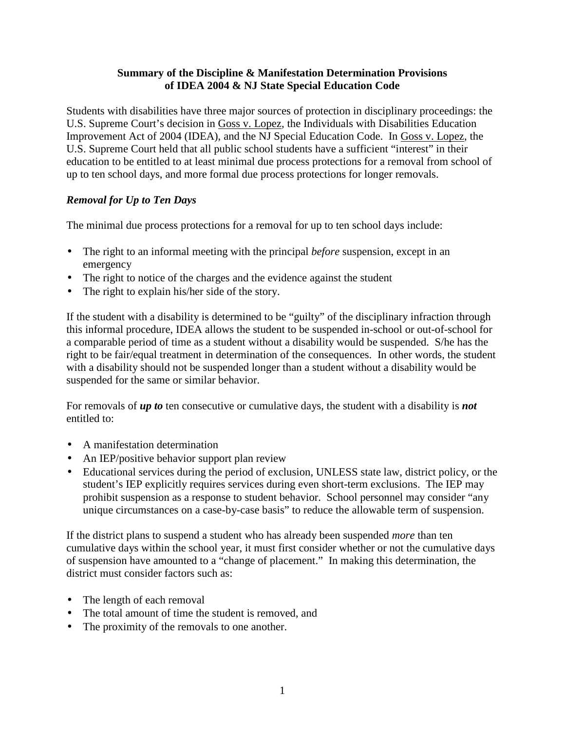### **Summary of the Discipline & Manifestation Determination Provisions of IDEA 2004 & NJ State Special Education Code**

Students with disabilities have three major sources of protection in disciplinary proceedings: the U.S. Supreme Court's decision in Goss v. Lopez, the Individuals with Disabilities Education Improvement Act of 2004 (IDEA), and the NJ Special Education Code. In Goss v. Lopez, the U.S. Supreme Court held that all public school students have a sufficient "interest" in their education to be entitled to at least minimal due process protections for a removal from school of up to ten school days, and more formal due process protections for longer removals.

# *Removal for Up to Ten Days*

The minimal due process protections for a removal for up to ten school days include:

- The right to an informal meeting with the principal *before* suspension, except in an emergency
- The right to notice of the charges and the evidence against the student
- The right to explain his/her side of the story.

If the student with a disability is determined to be "guilty" of the disciplinary infraction through this informal procedure, IDEA allows the student to be suspended in-school or out-of-school for a comparable period of time as a student without a disability would be suspended. S/he has the right to be fair/equal treatment in determination of the consequences. In other words, the student with a disability should not be suspended longer than a student without a disability would be suspended for the same or similar behavior.

For removals of *up to* ten consecutive or cumulative days, the student with a disability is *not* entitled to:

- A manifestation determination
- An IEP/positive behavior support plan review
- Educational services during the period of exclusion, UNLESS state law, district policy, or the student's IEP explicitly requires services during even short-term exclusions. The IEP may prohibit suspension as a response to student behavior. School personnel may consider "any unique circumstances on a case-by-case basis" to reduce the allowable term of suspension.

If the district plans to suspend a student who has already been suspended *more* than ten cumulative days within the school year, it must first consider whether or not the cumulative days of suspension have amounted to a "change of placement." In making this determination, the district must consider factors such as:

- The length of each removal
- The total amount of time the student is removed, and
- The proximity of the removals to one another.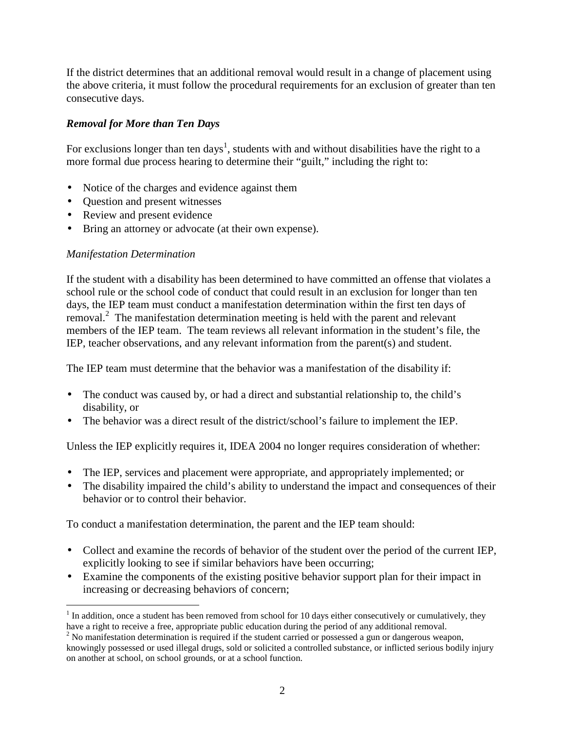If the district determines that an additional removal would result in a change of placement using the above criteria, it must follow the procedural requirements for an exclusion of greater than ten consecutive days.

# *Removal for More than Ten Days*

For exclusions longer than ten days<sup>1</sup>, students with and without disabilities have the right to a more formal due process hearing to determine their "guilt," including the right to:

- Notice of the charges and evidence against them
- Question and present witnesses
- Review and present evidence
- Bring an attorney or advocate (at their own expense).

## *Manifestation Determination*

If the student with a disability has been determined to have committed an offense that violates a school rule or the school code of conduct that could result in an exclusion for longer than ten days, the IEP team must conduct a manifestation determination within the first ten days of removal.<sup>2</sup> The manifestation determination meeting is held with the parent and relevant members of the IEP team. The team reviews all relevant information in the student's file, the IEP, teacher observations, and any relevant information from the parent(s) and student.

The IEP team must determine that the behavior was a manifestation of the disability if:

- The conduct was caused by, or had a direct and substantial relationship to, the child's disability, or
- The behavior was a direct result of the district/school's failure to implement the IEP.

Unless the IEP explicitly requires it, IDEA 2004 no longer requires consideration of whether:

- The IEP, services and placement were appropriate, and appropriately implemented; or
- The disability impaired the child's ability to understand the impact and consequences of their behavior or to control their behavior.

To conduct a manifestation determination, the parent and the IEP team should:

- Collect and examine the records of behavior of the student over the period of the current IEP, explicitly looking to see if similar behaviors have been occurring;
- Examine the components of the existing positive behavior support plan for their impact in increasing or decreasing behaviors of concern;

 $\overline{a}$  $1$  In addition, once a student has been removed from school for 10 days either consecutively or cumulatively, they have a right to receive a free, appropriate public education during the period of any additional removal.

 $2$  No manifestation determination is required if the student carried or possessed a gun or dangerous weapon, knowingly possessed or used illegal drugs, sold or solicited a controlled substance, or inflicted serious bodily injury on another at school, on school grounds, or at a school function.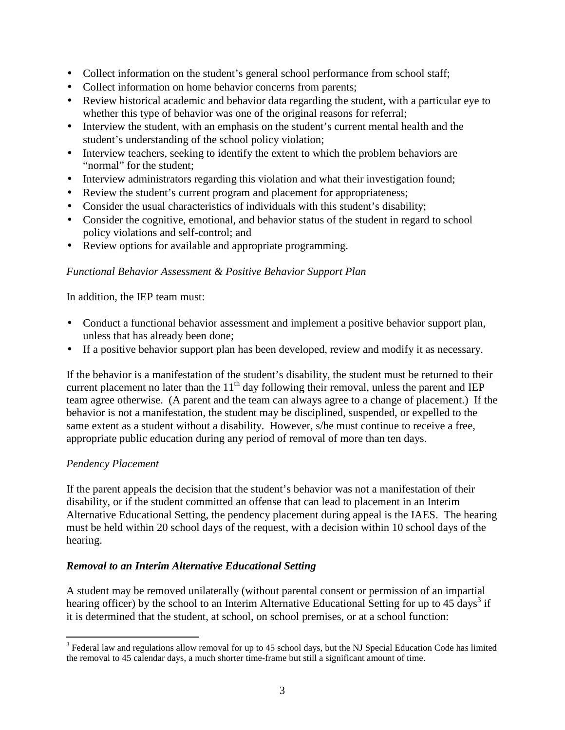- Collect information on the student's general school performance from school staff;
- Collect information on home behavior concerns from parents;
- Review historical academic and behavior data regarding the student, with a particular eye to whether this type of behavior was one of the original reasons for referral;
- Interview the student, with an emphasis on the student's current mental health and the student's understanding of the school policy violation;
- Interview teachers, seeking to identify the extent to which the problem behaviors are "normal" for the student;
- Interview administrators regarding this violation and what their investigation found;
- Review the student's current program and placement for appropriateness;
- Consider the usual characteristics of individuals with this student's disability;
- Consider the cognitive, emotional, and behavior status of the student in regard to school policy violations and self-control; and
- Review options for available and appropriate programming.

#### *Functional Behavior Assessment & Positive Behavior Support Plan*

In addition, the IEP team must:

- Conduct a functional behavior assessment and implement a positive behavior support plan, unless that has already been done;
- If a positive behavior support plan has been developed, review and modify it as necessary.

If the behavior is a manifestation of the student's disability, the student must be returned to their current placement no later than the  $11<sup>th</sup>$  day following their removal, unless the parent and IEP team agree otherwise. (A parent and the team can always agree to a change of placement.) If the behavior is not a manifestation, the student may be disciplined, suspended, or expelled to the same extent as a student without a disability. However, s/he must continue to receive a free, appropriate public education during any period of removal of more than ten days.

#### *Pendency Placement*

If the parent appeals the decision that the student's behavior was not a manifestation of their disability, or if the student committed an offense that can lead to placement in an Interim Alternative Educational Setting, the pendency placement during appeal is the IAES. The hearing must be held within 20 school days of the request, with a decision within 10 school days of the hearing.

## *Removal to an Interim Alternative Educational Setting*

A student may be removed unilaterally (without parental consent or permission of an impartial hearing officer) by the school to an Interim Alternative Educational Setting for up to 45 days<sup>3</sup> if it is determined that the student, at school, on school premises, or at a school function:

<sup>&</sup>lt;sup>3</sup> Federal law and regulations allow removal for up to 45 school days, but the NJ Special Education Code has limited the removal to 45 calendar days, a much shorter time-frame but still a significant amount of time.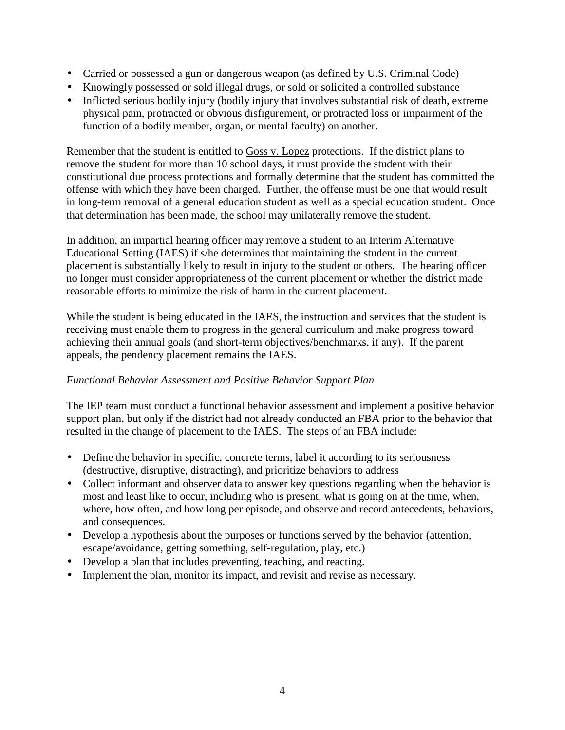- Carried or possessed a gun or dangerous weapon (as defined by U.S. Criminal Code)
- Knowingly possessed or sold illegal drugs, or sold or solicited a controlled substance
- Inflicted serious bodily injury (bodily injury that involves substantial risk of death, extreme physical pain, protracted or obvious disfigurement, or protracted loss or impairment of the function of a bodily member, organ, or mental faculty) on another.

Remember that the student is entitled to Goss v. Lopez protections. If the district plans to remove the student for more than 10 school days, it must provide the student with their constitutional due process protections and formally determine that the student has committed the offense with which they have been charged. Further, the offense must be one that would result in long-term removal of a general education student as well as a special education student. Once that determination has been made, the school may unilaterally remove the student.

In addition, an impartial hearing officer may remove a student to an Interim Alternative Educational Setting (IAES) if s/he determines that maintaining the student in the current placement is substantially likely to result in injury to the student or others. The hearing officer no longer must consider appropriateness of the current placement or whether the district made reasonable efforts to minimize the risk of harm in the current placement.

While the student is being educated in the IAES, the instruction and services that the student is receiving must enable them to progress in the general curriculum and make progress toward achieving their annual goals (and short-term objectives/benchmarks, if any). If the parent appeals, the pendency placement remains the IAES.

## *Functional Behavior Assessment and Positive Behavior Support Plan*

The IEP team must conduct a functional behavior assessment and implement a positive behavior support plan, but only if the district had not already conducted an FBA prior to the behavior that resulted in the change of placement to the IAES. The steps of an FBA include:

- Define the behavior in specific, concrete terms, label it according to its seriousness (destructive, disruptive, distracting), and prioritize behaviors to address
- Collect informant and observer data to answer key questions regarding when the behavior is most and least like to occur, including who is present, what is going on at the time, when, where, how often, and how long per episode, and observe and record antecedents, behaviors, and consequences.
- Develop a hypothesis about the purposes or functions served by the behavior (attention, escape/avoidance, getting something, self-regulation, play, etc.)
- Develop a plan that includes preventing, teaching, and reacting.
- Implement the plan, monitor its impact, and revisit and revise as necessary.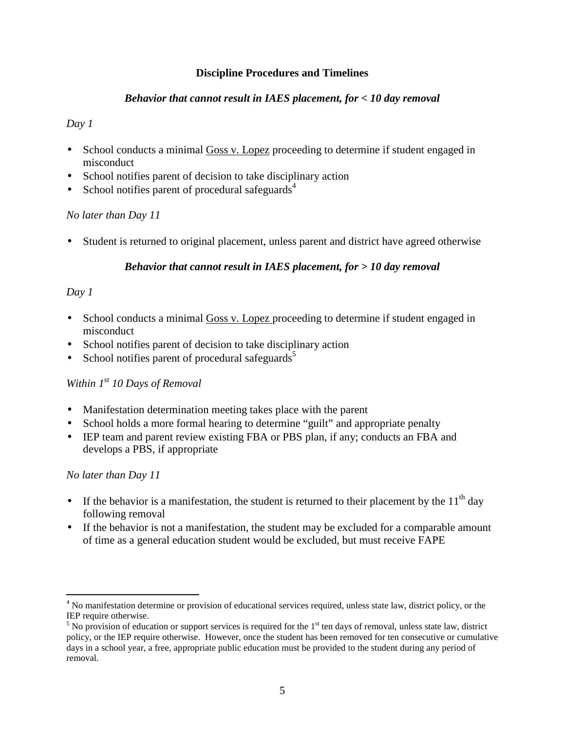### **Discipline Procedures and Timelines**

### *Behavior that cannot result in IAES placement, for < 10 day removal*

#### *Day 1*

- School conducts a minimal Goss v. Lopez proceeding to determine if student engaged in misconduct
- School notifies parent of decision to take disciplinary action
- School notifies parent of procedural safeguards<sup>4</sup>

## *No later than Day 11*

• Student is returned to original placement, unless parent and district have agreed otherwise

# *Behavior that cannot result in IAES placement, for > 10 day removal*

# *Day 1*

- School conducts a minimal Goss v. Lopez proceeding to determine if student engaged in misconduct
- School notifies parent of decision to take disciplinary action
- School notifies parent of procedural safeguards<sup>5</sup>

# *Within 1st 10 Days of Removal*

- Manifestation determination meeting takes place with the parent
- School holds a more formal hearing to determine "guilt" and appropriate penalty
- IEP team and parent review existing FBA or PBS plan, if any; conducts an FBA and develops a PBS, if appropriate

## *No later than Day 11*

-

- If the behavior is a manifestation, the student is returned to their placement by the  $11<sup>th</sup>$  day following removal
- If the behavior is not a manifestation, the student may be excluded for a comparable amount of time as a general education student would be excluded, but must receive FAPE

<sup>&</sup>lt;sup>4</sup> No manifestation determine or provision of educational services required, unless state law, district policy, or the IEP require otherwise.

 $<sup>5</sup>$  No provision of education or support services is required for the  $1<sup>st</sup>$  ten days of removal, unless state law, district</sup> policy, or the IEP require otherwise. However, once the student has been removed for ten consecutive or cumulative days in a school year, a free, appropriate public education must be provided to the student during any period of removal.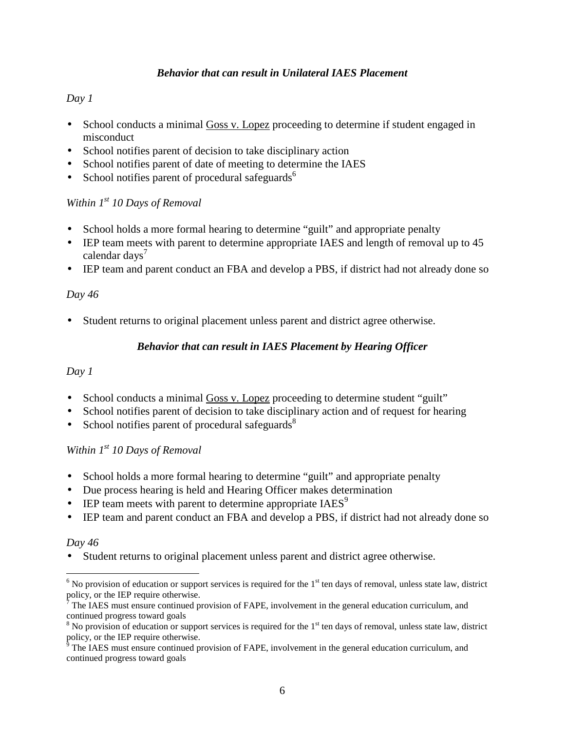## *Behavior that can result in Unilateral IAES Placement*

# *Day 1*

- School conducts a minimal Goss v. Lopez proceeding to determine if student engaged in misconduct
- School notifies parent of decision to take disciplinary action
- School notifies parent of date of meeting to determine the IAES
- School notifies parent of procedural safeguards $<sup>6</sup>$ </sup>

# *Within 1st 10 Days of Removal*

- School holds a more formal hearing to determine "guilt" and appropriate penalty
- IEP team meets with parent to determine appropriate IAES and length of removal up to 45 calendar days $'$
- IEP team and parent conduct an FBA and develop a PBS, if district had not already done so

# *Day 46*

• Student returns to original placement unless parent and district agree otherwise.

# *Behavior that can result in IAES Placement by Hearing Officer*

## *Day 1*

- School conducts a minimal Goss v. Lopez proceeding to determine student "guilt"
- School notifies parent of decision to take disciplinary action and of request for hearing
- School notifies parent of procedural safeguards $\delta$

# *Within 1st 10 Days of Removal*

- School holds a more formal hearing to determine "guilt" and appropriate penalty
- Due process hearing is held and Hearing Officer makes determination
- IEP team meets with parent to determine appropriate  $IAES<sup>9</sup>$
- IEP team and parent conduct an FBA and develop a PBS, if district had not already done so

## *Day 46*

• Student returns to original placement unless parent and district agree otherwise.

 $\overline{a}$  $<sup>6</sup>$  No provision of education or support services is required for the 1<sup>st</sup> ten days of removal, unless state law, district</sup> policy, or the IEP require otherwise.

 $\bar{7}$  The IAES must ensure continued provision of FAPE, involvement in the general education curriculum, and continued progress toward goals

 $8$  No provision of education or support services is required for the  $1<sup>st</sup>$  ten days of removal, unless state law, district

policy, or the IEP require otherwise.<br><sup>9</sup> The IAES must ensure continued provision of FAPE, involvement in the general education curriculum, and continued progress toward goals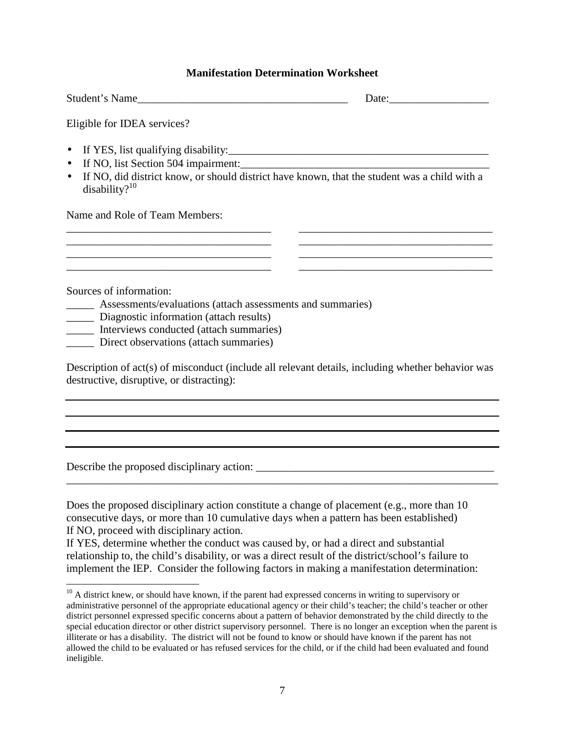#### **Manifestation Determination Worksheet**

| Student's Name                                                                                                                                                                    | Date: |
|-----------------------------------------------------------------------------------------------------------------------------------------------------------------------------------|-------|
| Eligible for IDEA services?                                                                                                                                                       |       |
| $\bullet$<br>If NO, list Section 504 impairment:<br>$\bullet$<br>If NO, did district know, or should district have known, that the student was a child with a<br>disability? $10$ |       |
| Name and Role of Team Members:                                                                                                                                                    |       |
|                                                                                                                                                                                   |       |
| Sources of information:                                                                                                                                                           |       |
| Assessments/evaluations (attach assessments and summaries)                                                                                                                        |       |
| Diagnostic information (attach results)<br>Interviews conducted (attach summaries)                                                                                                |       |
| Direct observations (attach summaries)                                                                                                                                            |       |

Description of act(s) of misconduct (include all relevant details, including whether behavior was destructive, disruptive, or distracting):

Describe the proposed disciplinary action:

<u>.</u>

Does the proposed disciplinary action constitute a change of placement (e.g., more than 10 consecutive days, or more than 10 cumulative days when a pattern has been established) If NO, proceed with disciplinary action.

\_\_\_\_\_\_\_\_\_\_\_\_\_\_\_\_\_\_\_\_\_\_\_\_\_\_\_\_\_\_\_\_\_\_\_\_\_\_\_\_\_\_\_\_\_\_\_\_\_\_\_\_\_\_\_\_\_\_\_\_\_\_\_\_\_\_\_\_\_\_\_\_\_\_\_\_\_\_

If YES, determine whether the conduct was caused by, or had a direct and substantial relationship to, the child's disability, or was a direct result of the district/school's failure to implement the IEP. Consider the following factors in making a manifestation determination:

 $10$  A district knew, or should have known, if the parent had expressed concerns in writing to supervisory or administrative personnel of the appropriate educational agency or their child's teacher; the child's teacher or other district personnel expressed specific concerns about a pattern of behavior demonstrated by the child directly to the special education director or other district supervisory personnel. There is no longer an exception when the parent is illiterate or has a disability. The district will not be found to know or should have known if the parent has not allowed the child to be evaluated or has refused services for the child, or if the child had been evaluated and found ineligible.